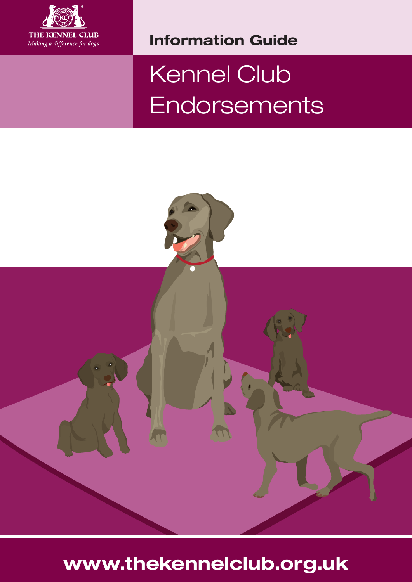

Information Guide

# Kennel Club **Endorsements**



www.thekennelclub.org.uk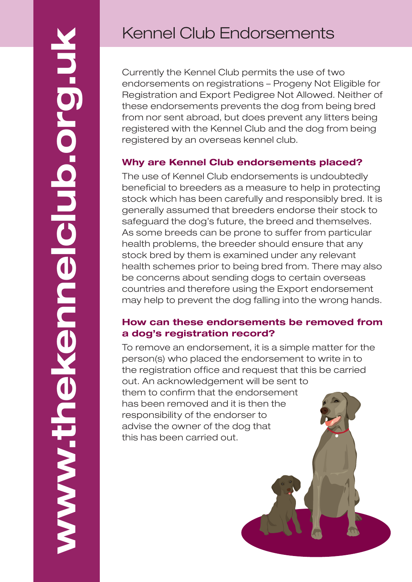# www.thekennelclub.org.ukanelclub.org.ul www.thel

## Kennel Club Endorsements

Currently the Kennel Club permits the use of two endorsements on registrations – Progeny Not Eligible for Registration and Export Pedigree Not Allowed. Neither of these endorsements prevents the dog from being bred from nor sent abroad, but does prevent any litters being registered with the Kennel Club and the dog from being registered by an overseas kennel club.

### Why are Kennel Club endorsements placed?

The use of Kennel Club endorsements is undoubtedly beneficial to breeders as a measure to help in protecting stock which has been carefully and responsibly bred. It is generally assumed that breeders endorse their stock to safeguard the dog's future, the breed and themselves. As some breeds can be prone to suffer from particular health problems, the breeder should ensure that any stock bred by them is examined under any relevant health schemes prior to being bred from. There may also be concerns about sending dogs to certain overseas countries and therefore using the Export endorsement may help to prevent the dog falling into the wrong hands.

### How can these endorsements be removed from a dog's registration record?

To remove an endorsement, it is a simple matter for the person(s) who placed the endorsement to write in to the registration office and request that this be carried out. An acknowledgement will be sent to them to confirm that the endorsement has been removed and it is then the responsibility of the endorser to advise the owner of the dog that this has been carried out.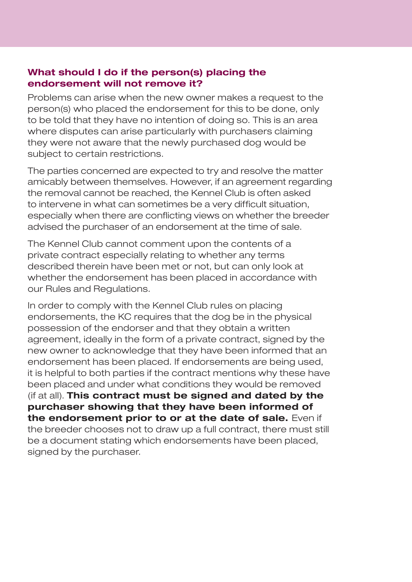### What should I do if the person(s) placing the endorsement will not remove it?

Problems can arise when the new owner makes a request to the person(s) who placed the endorsement for this to be done, only to be told that they have no intention of doing so. This is an area where disputes can arise particularly with purchasers claiming they were not aware that the newly purchased dog would be subject to certain restrictions.

The parties concerned are expected to try and resolve the matter amicably between themselves. However, if an agreement regarding the removal cannot be reached, the Kennel Club is often asked to intervene in what can sometimes be a very difficult situation, especially when there are conflicting views on whether the breeder advised the purchaser of an endorsement at the time of sale.

The Kennel Club cannot comment upon the contents of a private contract especially relating to whether any terms described therein have been met or not, but can only look at whether the endorsement has been placed in accordance with our Rules and Regulations.

In order to comply with the Kennel Club rules on placing endorsements, the KC requires that the dog be in the physical possession of the endorser and that they obtain a written agreement, ideally in the form of a private contract, signed by the new owner to acknowledge that they have been informed that an endorsement has been placed. If endorsements are being used, it is helpful to both parties if the contract mentions why these have been placed and under what conditions they would be removed (if at all). This contract must be signed and dated by the purchaser showing that they have been informed of the endorsement prior to or at the date of sale. Even if the breeder chooses not to draw up a full contract, there must still be a document stating which endorsements have been placed, signed by the purchaser.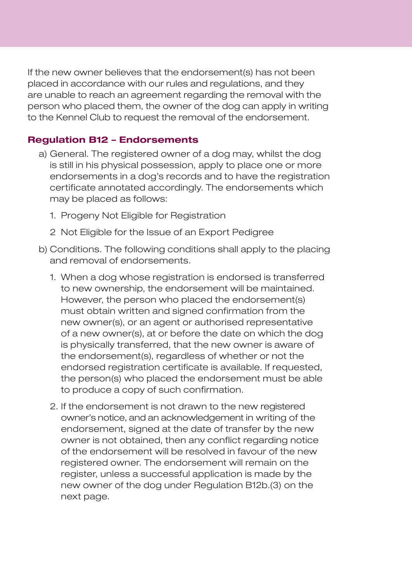If the new owner believes that the endorsement(s) has not been placed in accordance with our rules and regulations, and they are unable to reach an agreement regarding the removal with the person who placed them, the owner of the dog can apply in writing to the Kennel Club to request the removal of the endorsement.

### Regulation B12 – Endorsements

- a) General. The registered owner of a dog may, whilst the dog is still in his physical possession, apply to place one or more endorsements in a dog's records and to have the registration certificate annotated accordingly. The endorsements which may be placed as follows:
	- 1. Progeny Not Eligible for Registration
	- 2 Not Eligible for the Issue of an Export Pedigree
- b) Conditions. The following conditions shall apply to the placing and removal of endorsements.
	- 1. When a dog whose registration is endorsed is transferred to new ownership, the endorsement will be maintained. However, the person who placed the endorsement(s) must obtain written and signed confirmation from the new owner(s), or an agent or authorised representative of a new owner(s), at or before the date on which the dog is physically transferred, that the new owner is aware of the endorsement(s), regardless of whether or not the endorsed registration certificate is available. If requested, the person(s) who placed the endorsement must be able to produce a copy of such confirmation.
	- 2. If the endorsement is not drawn to the new registered owner's notice, and an acknowledgement in writing of the endorsement, signed at the date of transfer by the new owner is not obtained, then any conflict regarding notice of the endorsement will be resolved in favour of the new registered owner. The endorsement will remain on the register, unless a successful application is made by the new owner of the dog under Regulation B12b.(3) on the next page.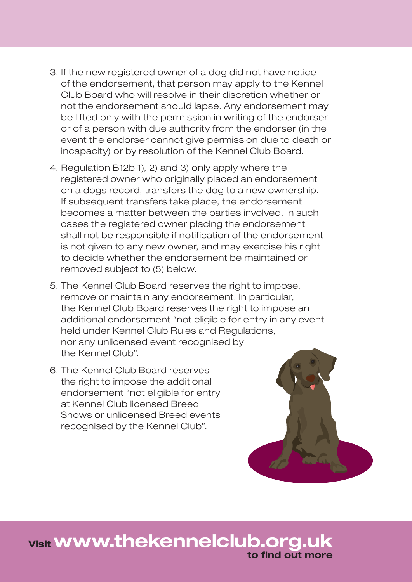- 3. If the new registered owner of a dog did not have notice of the endorsement, that person may apply to the Kennel Club Board who will resolve in their discretion whether or not the endorsement should lapse. Any endorsement may be lifted only with the permission in writing of the endorser or of a person with due authority from the endorser (in the event the endorser cannot give permission due to death or incapacity) or by resolution of the Kennel Club Board.
- 4. Regulation B12b 1), 2) and 3) only apply where the registered owner who originally placed an endorsement on a dogs record, transfers the dog to a new ownership. If subsequent transfers take place, the endorsement becomes a matter between the parties involved. In such cases the registered owner placing the endorsement shall not be responsible if notification of the endorsement is not given to any new owner, and may exercise his right to decide whether the endorsement be maintained or removed subject to (5) below.
- 5. The Kennel Club Board reserves the right to impose, remove or maintain any endorsement. In particular, the Kennel Club Board reserves the right to impose an additional endorsement "not eligible for entry in any event held under Kennel Club Rules and Regulations, nor any unlicensed event recognised by the Kennel Club".
- 6. The Kennel Club Board reserves the right to impose the additional endorsement "not eligible for entry at Kennel Club licensed Breed Shows or unlicensed Breed events recognised by the Kennel Club".



### **Visit WWW.thekennelclub.org.uk** to find out more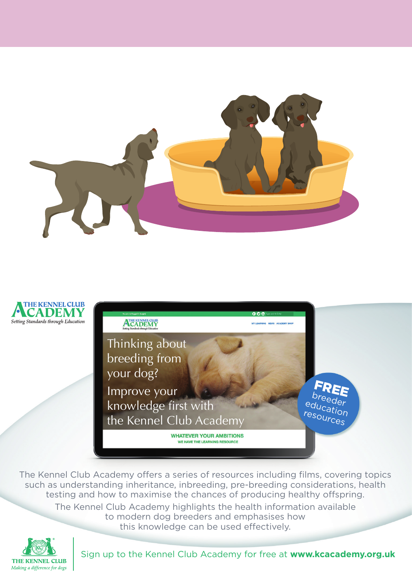



ACADEMY Thinking about breeding from your dog? FREE Improve your breeder knowledge first with education resources the Kennel Club Academy **WHATEVER YOUR AMBITIONS** WE HAVE THE LEARNING RESOURCE

The Kennel Club Academy offers a series of resources including films, covering topics such as understanding inheritance, inbreeding, pre-breeding considerations, health testing and how to maximise the chances of producing healthy offspring.

The Kennel Club Academy highlights the health information available to modern dog breeders and emphasises how this knowledge can be used effectively.



Sign up to the Kennel Club Academy for free at **www.kcacademy.org.uk**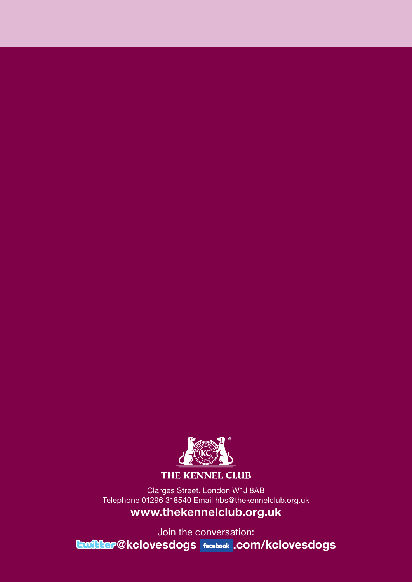

Clarges Street, London W1J 8AB

Telephone 01296 318540 Email hbs@thekennelclub.org.uk www.thekennelclub.org.uk

Join the conversation: **Guilder@kclovesdogs** Facebook .com/kclovesdogs